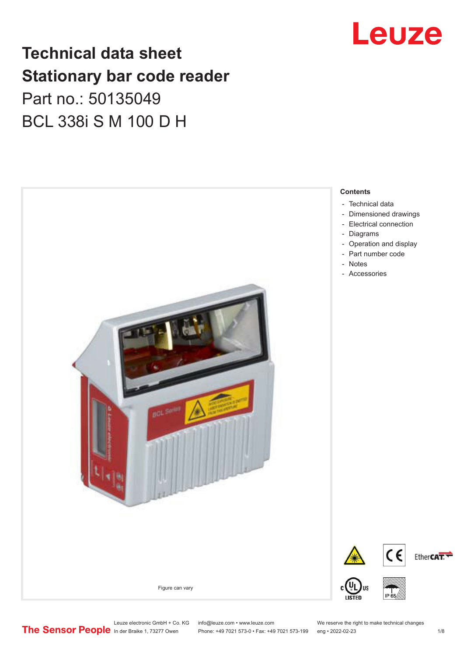## **Technical data sheet Stationary bar code reader** Part no.: 50135049 BCL 338i S M 100 D H





Leuze electronic GmbH + Co. KG info@leuze.com • www.leuze.com We reserve the right to make technical changes<br>
The Sensor People in der Braike 1, 73277 Owen Phone: +49 7021 573-0 • Fax: +49 7021 573-199 eng • 2022-02-23

Phone: +49 7021 573-0 • Fax: +49 7021 573-199 eng • 2022-02-23 1 /8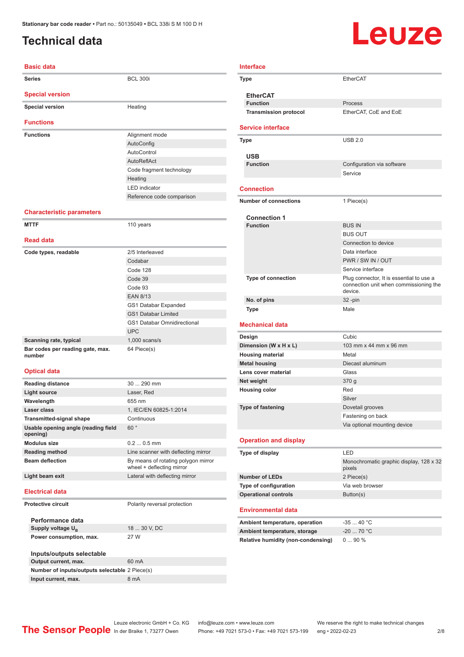## <span id="page-1-0"></span>**Technical data**

# **Leuze**

| <b>Series</b>                                   | <b>BCL 300i</b>                                                  |
|-------------------------------------------------|------------------------------------------------------------------|
|                                                 |                                                                  |
| <b>Special version</b>                          |                                                                  |
| <b>Special version</b>                          | Heating                                                          |
| <b>Functions</b>                                |                                                                  |
| <b>Functions</b>                                | Alignment mode                                                   |
|                                                 | AutoConfig                                                       |
|                                                 | AutoControl                                                      |
|                                                 | AutoReflAct                                                      |
|                                                 | Code fragment technology                                         |
|                                                 | Heating                                                          |
|                                                 | <b>LED</b> indicator                                             |
|                                                 | Reference code comparison                                        |
| <b>Characteristic parameters</b>                |                                                                  |
| <b>MTTF</b>                                     | 110 years                                                        |
|                                                 |                                                                  |
| <b>Read data</b>                                |                                                                  |
| Code types, readable                            | 2/5 Interleaved                                                  |
|                                                 | Codabar                                                          |
|                                                 | Code 128                                                         |
|                                                 | Code 39                                                          |
|                                                 | Code 93                                                          |
|                                                 | <b>EAN 8/13</b>                                                  |
|                                                 | GS1 Databar Expanded                                             |
|                                                 | <b>GS1 Databar Limited</b>                                       |
|                                                 | <b>GS1 Databar Omnidirectional</b>                               |
|                                                 | <b>UPC</b>                                                       |
| Scanning rate, typical                          | $1,000$ scans/s                                                  |
| Bar codes per reading gate, max.<br>number      | 64 Piece(s)                                                      |
| <b>Optical data</b>                             |                                                                  |
| <b>Reading distance</b>                         | 30  290 mm                                                       |
| <b>Light source</b>                             | Laser, Red                                                       |
| Wavelength                                      | 655 nm                                                           |
| Laser class                                     | 1, IEC/EN 60825-1:2014                                           |
| <b>Transmitted-signal shape</b>                 | Continuous                                                       |
| Usable opening angle (reading field<br>opening) | 60°                                                              |
| <b>Modulus size</b>                             | $0.20.5$ mm                                                      |
| <b>Reading method</b>                           | Line scanner with deflecting mirror                              |
| <b>Beam deflection</b>                          | By means of rotating polygon mirror<br>wheel + deflecting mirror |
| Light beam exit                                 | Lateral with deflecting mirror                                   |
| <b>Electrical data</b>                          |                                                                  |
| <b>Protective circuit</b>                       | Polarity reversal protection                                     |
| Performance data                                |                                                                  |
| Supply voltage $U_{\rm B}$                      | 18  30 V, DC                                                     |
| Power consumption, max.                         | 27 W                                                             |

**Inputs/outputs selectable Output current, max.** 60 mA **Number of inputs/outputs selectable** 2 Piece(s) **Input current, max.** 8 mA

| <b>Interface</b> |                                    |                                                   |  |
|------------------|------------------------------------|---------------------------------------------------|--|
|                  | Type                               | <b>FtherCAT</b>                                   |  |
|                  |                                    |                                                   |  |
|                  | <b>EtherCAT</b><br><b>Function</b> | Process                                           |  |
|                  | <b>Transmission protocol</b>       | EtherCAT, CoE and EoE                             |  |
|                  |                                    |                                                   |  |
|                  | <b>Service interface</b>           |                                                   |  |
|                  | <b>Type</b>                        | <b>USB 2.0</b>                                    |  |
|                  |                                    |                                                   |  |
|                  | <b>USB</b>                         |                                                   |  |
|                  | <b>Function</b>                    | Configuration via software<br>Service             |  |
|                  |                                    |                                                   |  |
|                  | <b>Connection</b>                  |                                                   |  |
|                  | <b>Number of connections</b>       | 1 Piece(s)                                        |  |
|                  |                                    |                                                   |  |
|                  | <b>Connection 1</b>                |                                                   |  |
|                  | <b>Function</b>                    | <b>BUS IN</b>                                     |  |
|                  |                                    | <b>BUS OUT</b><br>Connection to device            |  |
|                  |                                    | Data interface                                    |  |
|                  |                                    | PWR / SW IN / OUT                                 |  |
|                  |                                    | Service interface                                 |  |
|                  | <b>Type of connection</b>          | Plug connector, It is essential to use a          |  |
|                  |                                    | connection unit when commissioning the<br>device. |  |
|                  | No. of pins                        | $32 - pin$                                        |  |
|                  | Type                               | Male                                              |  |
|                  | <b>Mechanical data</b>             |                                                   |  |
|                  | Design                             | Cubic                                             |  |
|                  | Dimension (W x H x L)              | 103 mm x 44 mm x 96 mm                            |  |
|                  | <b>Housing material</b>            | Metal                                             |  |
|                  | <b>Metal housing</b>               | Diecast aluminum                                  |  |
|                  | Lens cover material                | Glass                                             |  |
|                  | Net weight                         | 370 g                                             |  |
|                  | <b>Housing color</b>               | Red                                               |  |
|                  | <b>Type of fastening</b>           | Silver                                            |  |
|                  |                                    | Dovetail grooves<br>Fastening on back             |  |
|                  |                                    | Via optional mounting device                      |  |
|                  |                                    |                                                   |  |
|                  | <b>Operation and display</b>       |                                                   |  |
|                  | Type of display                    | LED                                               |  |
|                  |                                    | Monochromatic graphic display, 128 x 32           |  |
|                  | <b>Number of LEDs</b>              | pixels<br>2 Piece(s)                              |  |
|                  | Type of configuration              | Via web browser                                   |  |
|                  | <b>Operational controls</b>        | Button(s)                                         |  |
|                  |                                    |                                                   |  |
|                  | <b>Environmental data</b>          |                                                   |  |
|                  | Ambient temperature, operation     | -35  40 °C                                        |  |
|                  | Ambient temperature, storage       | $-20$ 70 °C                                       |  |
|                  | Relative humidity (non-condensing) | 090%                                              |  |
|                  |                                    |                                                   |  |
|                  |                                    |                                                   |  |
|                  |                                    |                                                   |  |
|                  |                                    |                                                   |  |

Leuze electronic GmbH + Co. KG info@leuze.com • www.leuze.com We reserve the right to make technical changes<br>
The Sensor People in der Braike 1, 73277 Owen Phone: +49 7021 573-0 • Fax: +49 7021 573-199 eng • 2022-02-23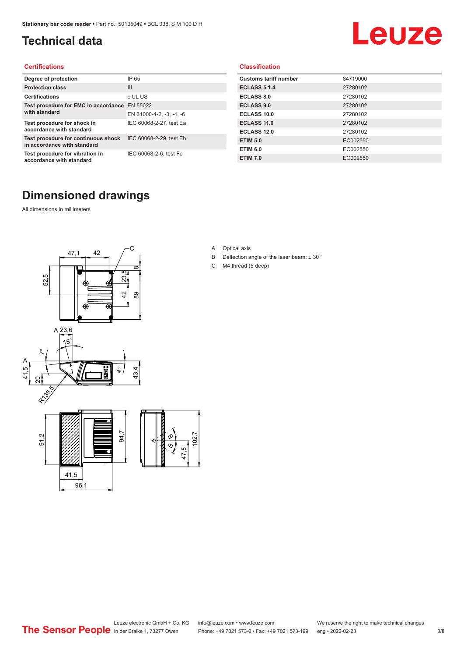## <span id="page-2-0"></span>**Technical data**

# Leuze

#### **Certifications**

| Degree of protection                                               | IP 65                    |
|--------------------------------------------------------------------|--------------------------|
| <b>Protection class</b>                                            | $\mathbf{III}$           |
| <b>Certifications</b>                                              | c UL US                  |
| Test procedure for EMC in accordance                               | EN 55022                 |
| with standard                                                      | EN 61000-4-2, -3, -4, -6 |
| Test procedure for shock in<br>accordance with standard            | IEC 60068-2-27, test Ea  |
| Test procedure for continuous shock<br>in accordance with standard | IEC 60068-2-29, test Eb  |
| Test procedure for vibration in<br>accordance with standard        | IEC 60068-2-6, test Fc   |

#### **Classification**

| <b>Customs tariff number</b> | 84719000 |
|------------------------------|----------|
| <b>ECLASS 5.1.4</b>          | 27280102 |
| <b>ECLASS 8.0</b>            | 27280102 |
| <b>ECLASS 9.0</b>            | 27280102 |
| ECLASS 10.0                  | 27280102 |
| <b>ECLASS 11.0</b>           | 27280102 |
| <b>ECLASS 12.0</b>           | 27280102 |
| <b>ETIM 5.0</b>              | EC002550 |
| <b>ETIM 6.0</b>              | EC002550 |
| <b>ETIM 7.0</b>              | EC002550 |

## **Dimensioned drawings**

All dimensions in millimeters



- A Optical axis
- B Deflection angle of the laser beam: ± 30 °
- C M4 thread (5 deep)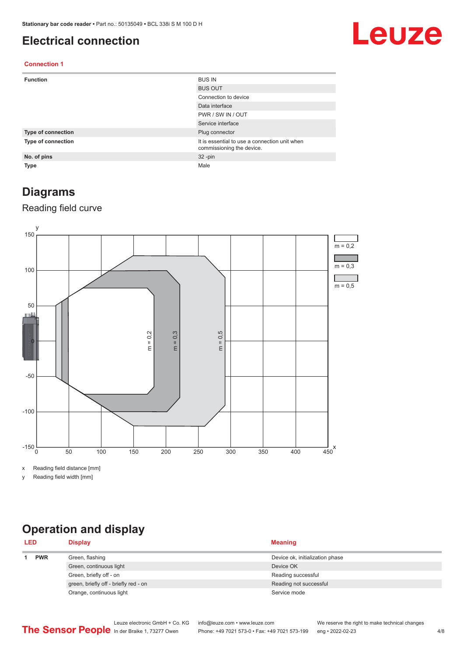### <span id="page-3-0"></span>**Electrical connection**

## Leuze

#### **Connection 1**

| <b>Function</b>    | <b>BUS IN</b>                                                              |
|--------------------|----------------------------------------------------------------------------|
|                    | <b>BUS OUT</b>                                                             |
|                    | Connection to device                                                       |
|                    | Data interface                                                             |
|                    | PWR / SW IN / OUT                                                          |
|                    | Service interface                                                          |
| Type of connection | Plug connector                                                             |
| Type of connection | It is essential to use a connection unit when<br>commissioning the device. |
| No. of pins        | $32 - pin$                                                                 |
| <b>Type</b>        | Male                                                                       |

## **Diagrams**

#### Reading field curve



x Reading field distance [mm]

y Reading field width [mm]

## **Operation and display**

| <b>LED</b> |  | <b>Display</b>                        | <b>Meaning</b>                  |  |
|------------|--|---------------------------------------|---------------------------------|--|
| <b>PWR</b> |  | Green, flashing                       | Device ok, initialization phase |  |
|            |  | Green, continuous light               | Device OK                       |  |
|            |  | Green, briefly off - on               | Reading successful              |  |
|            |  | green, briefly off - briefly red - on | Reading not successful          |  |
|            |  | Orange, continuous light              | Service mode                    |  |
|            |  |                                       |                                 |  |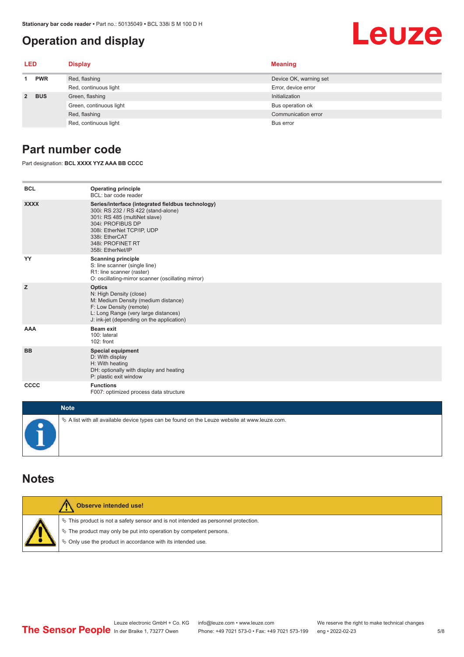## <span id="page-4-0"></span>**Operation and display**

## Leuze

| LED         |            | <b>Display</b>          | <b>Meaning</b>         |
|-------------|------------|-------------------------|------------------------|
| <b>PWR</b>  |            | Red, flashing           | Device OK, warning set |
|             |            | Red, continuous light   | Error, device error    |
| $2^{\circ}$ | <b>BUS</b> | Green, flashing         | Initialization         |
|             |            | Green, continuous light | Bus operation ok       |
|             |            | Red, flashing           | Communication error    |
|             |            | Red, continuous light   | Bus error              |

## **Part number code**

Part designation: **BCL XXXX YYZ AAA BB CCCC**

| <b>BCL</b>         | <b>Operating principle</b><br>BCL: bar code reader                                                                                                                                                                                       |
|--------------------|------------------------------------------------------------------------------------------------------------------------------------------------------------------------------------------------------------------------------------------|
| <b>XXXX</b>        | Series/interface (integrated fieldbus technology)<br>300i: RS 232 / RS 422 (stand-alone)<br>301i: RS 485 (multiNet slave)<br>304i: PROFIBUS DP<br>308i: EtherNet TCP/IP, UDP<br>338i: EtherCAT<br>348i: PROFINET RT<br>358i: EtherNet/IP |
| YY                 | <b>Scanning principle</b><br>S: line scanner (single line)<br>R1: line scanner (raster)<br>O: oscillating-mirror scanner (oscillating mirror)                                                                                            |
| z                  | <b>Optics</b><br>N: High Density (close)<br>M: Medium Density (medium distance)<br>F: Low Density (remote)<br>L: Long Range (very large distances)<br>J: ink-jet (depending on the application)                                          |
| <b>AAA</b>         | <b>Beam exit</b><br>100: lateral<br>102: front                                                                                                                                                                                           |
| <b>BB</b>          | <b>Special equipment</b><br>D: With display<br>H: With heating<br>DH: optionally with display and heating<br>P: plastic exit window                                                                                                      |
| CCCC               | <b>Functions</b><br>F007: optimized process data structure                                                                                                                                                                               |
| <b>Sales State</b> |                                                                                                                                                                                                                                          |

| <b>Note</b>                                                                                       |
|---------------------------------------------------------------------------------------------------|
| $\phi$ A list with all available device types can be found on the Leuze website at www.leuze.com. |

### **Notes**

| <b>Observe intended use!</b>                                                                                                                                                                                                  |
|-------------------------------------------------------------------------------------------------------------------------------------------------------------------------------------------------------------------------------|
| $\%$ This product is not a safety sensor and is not intended as personnel protection.<br>$\%$ The product may only be put into operation by competent persons.<br>₿ Only use the product in accordance with its intended use. |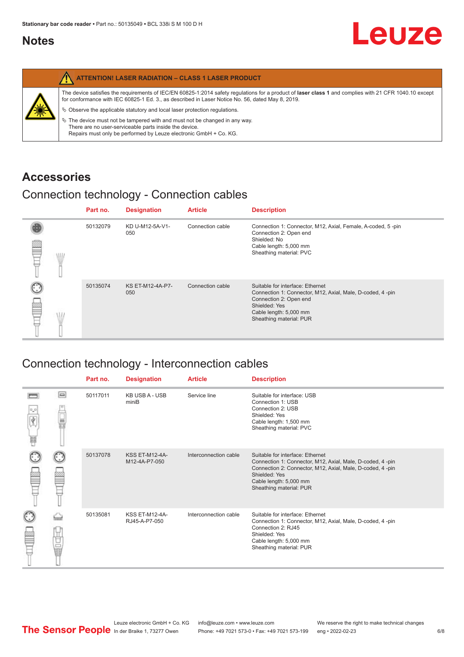## <span id="page-5-0"></span>**Notes**

|   | <b>ATTENTION! LASER RADIATION - CLASS 1 LASER PRODUCT</b>                                                                                                                                                                                                  |
|---|------------------------------------------------------------------------------------------------------------------------------------------------------------------------------------------------------------------------------------------------------------|
|   | The device satisfies the requirements of IEC/EN 60825-1:2014 safety requlations for a product of laser class 1 and complies with 21 CFR 1040.10 except<br>for conformance with IEC 60825-1 Ed. 3., as described in Laser Notice No. 56, dated May 8, 2019. |
| 纂 | $\&$ Observe the applicable statutory and local laser protection regulations.                                                                                                                                                                              |
|   | $\%$ The device must not be tampered with and must not be changed in any way.<br>There are no user-serviceable parts inside the device.<br>Repairs must only be performed by Leuze electronic GmbH + Co. KG.                                               |

## **Accessories**

## Connection technology - Connection cables

|   |   | Part no. | <b>Designation</b>      | <b>Article</b>   | <b>Description</b>                                                                                                                                                                            |
|---|---|----------|-------------------------|------------------|-----------------------------------------------------------------------------------------------------------------------------------------------------------------------------------------------|
| ≝ | W | 50132079 | KD U-M12-5A-V1-<br>050  | Connection cable | Connection 1: Connector, M12, Axial, Female, A-coded, 5-pin<br>Connection 2: Open end<br>Shielded: No<br>Cable length: 5,000 mm<br>Sheathing material: PVC                                    |
|   |   | 50135074 | KS ET-M12-4A-P7-<br>050 | Connection cable | Suitable for interface: Ethernet<br>Connection 1: Connector, M12, Axial, Male, D-coded, 4-pin<br>Connection 2: Open end<br>Shielded: Yes<br>Cable length: 5,000 mm<br>Sheathing material: PUR |

## Connection technology - Interconnection cables

|                           |                                                                                                                                                                                                                                | Part no. | <b>Designation</b>                     | <b>Article</b>        | <b>Description</b>                                                                                                                                                                                                               |
|---------------------------|--------------------------------------------------------------------------------------------------------------------------------------------------------------------------------------------------------------------------------|----------|----------------------------------------|-----------------------|----------------------------------------------------------------------------------------------------------------------------------------------------------------------------------------------------------------------------------|
| $\frac{1}{\sqrt{2}}$<br>Ħ | $\Box$                                                                                                                                                                                                                         | 50117011 | <b>KB USB A - USB</b><br>miniB         | Service line          | Suitable for interface: USB<br>Connection 1: USB<br>Connection 2: USB<br>Shielded: Yes<br>Cable length: 1,500 mm<br>Sheathing material: PVC                                                                                      |
|                           |                                                                                                                                                                                                                                | 50137078 | <b>KSS ET-M12-4A-</b><br>M12-4A-P7-050 | Interconnection cable | Suitable for interface: Ethernet<br>Connection 1: Connector, M12, Axial, Male, D-coded, 4-pin<br>Connection 2: Connector, M12, Axial, Male, D-coded, 4-pin<br>Shielded: Yes<br>Cable length: 5,000 mm<br>Sheathing material: PUR |
|                           | the filled the control in the control in the control in the control in the control in the control in the control in the control in the control in the control in the control in the control in the control in the control in t | 50135081 | <b>KSS ET-M12-4A-</b><br>RJ45-A-P7-050 | Interconnection cable | Suitable for interface: Ethernet<br>Connection 1: Connector, M12, Axial, Male, D-coded, 4-pin<br>Connection 2: RJ45<br>Shielded: Yes<br>Cable length: 5,000 mm<br>Sheathing material: PUR                                        |

Leuze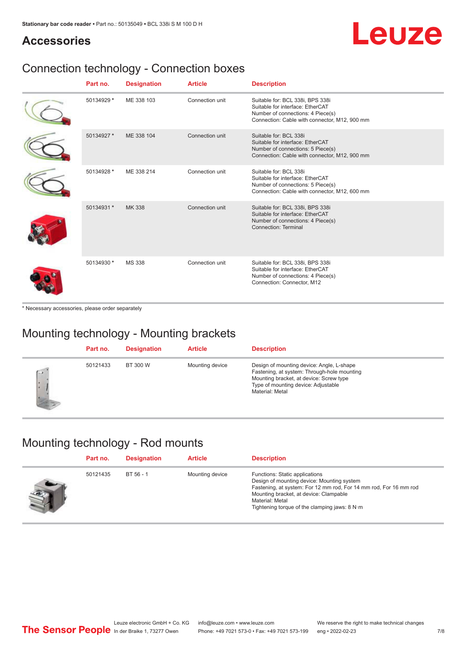## Leuze

## **Accessories**

## Connection technology - Connection boxes

| Part no.   | <b>Designation</b> | <b>Article</b>  | <b>Description</b>                                                                                                                                         |
|------------|--------------------|-----------------|------------------------------------------------------------------------------------------------------------------------------------------------------------|
| 50134929 * | ME 338 103         | Connection unit | Suitable for: BCL 338i, BPS 338i<br>Suitable for interface: EtherCAT<br>Number of connections: 4 Piece(s)<br>Connection: Cable with connector, M12, 900 mm |
| 50134927 * | ME 338 104         | Connection unit | Suitable for: BCL 338i<br>Suitable for interface: EtherCAT<br>Number of connections: 5 Piece(s)<br>Connection: Cable with connector, M12, 900 mm           |
| 50134928 * | ME 338 214         | Connection unit | Suitable for: BCL 338i<br>Suitable for interface: EtherCAT<br>Number of connections: 5 Piece(s)<br>Connection: Cable with connector, M12, 600 mm           |
| 50134931 * | <b>MK338</b>       | Connection unit | Suitable for: BCL 338i, BPS 338i<br>Suitable for interface: EtherCAT<br>Number of connections: 4 Piece(s)<br>Connection: Terminal                          |
| 50134930 * | <b>MS 338</b>      | Connection unit | Suitable for: BCL 338i, BPS 338i<br>Suitable for interface: EtherCAT<br>Number of connections: 4 Piece(s)<br>Connection: Connector, M12                    |

\* Necessary accessories, please order separately

## Mounting technology - Mounting brackets

|             | Part no. | <b>Designation</b> | <b>Article</b>  | <b>Description</b>                                                                                                                                                                            |
|-------------|----------|--------------------|-----------------|-----------------------------------------------------------------------------------------------------------------------------------------------------------------------------------------------|
| $\sim$<br>٠ | 50121433 | BT 300 W           | Mounting device | Design of mounting device: Angle, L-shape<br>Fastening, at system: Through-hole mounting<br>Mounting bracket, at device: Screw type<br>Type of mounting device: Adjustable<br>Material: Metal |

## Mounting technology - Rod mounts

| Part no. | <b>Designation</b> | <b>Article</b>  | <b>Description</b>                                                                                                                                                                                                                                                |
|----------|--------------------|-----------------|-------------------------------------------------------------------------------------------------------------------------------------------------------------------------------------------------------------------------------------------------------------------|
| 50121435 | BT 56 - 1          | Mounting device | Functions: Static applications<br>Design of mounting device: Mounting system<br>Fastening, at system: For 12 mm rod, For 14 mm rod, For 16 mm rod<br>Mounting bracket, at device: Clampable<br>Material: Metal<br>Tightening torque of the clamping jaws: $8 N·m$ |